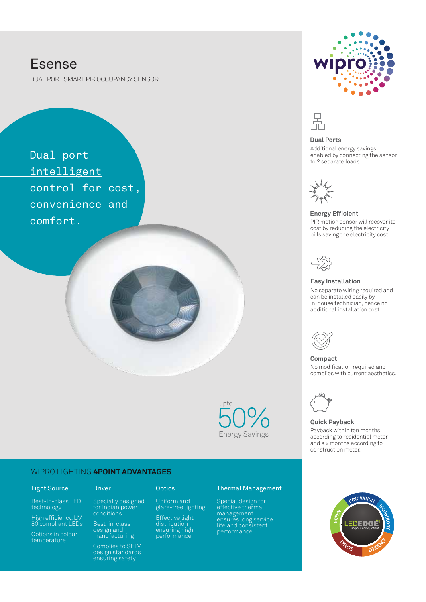# Esense

DUAL PORT SMART PIR OCCUPANCY SENSOR

 Dual port intelligent control for cost, convenience and comfort. PIR motion sensor will recover its

> 50% Energy Savingsupto

## WIPRO LIGHTING **4POINT ADVANTAGES**

## Light Source

Best-in-class LED technology

High efficiency, LM 80 compliant LEDs

Options in colour temperature

Specially designed for Indian power

Driver Optics

Uniform and glare-free lighting Effective light distribution ensuring high performance

conditions Best-in-class design and manufacturing

Complies to SELV design standards ensuring safety

### Thermal Management

Special design for effective thermal management ensures long service life and consistent performance





#### **Dual Ports**

Additional energy savings enabled by connecting the sensor to 2 separate loads.



### **Energy Efficient**

cost by reducing the electricity bills saving the electricity cost.



### **Easy Installation**

No separate wiring required and can be installed easily by in-house technician, hence no additional installation cost.



**Compact** No modification required and complies with current aesthetics.



### **Quick Payback** Payback within ten months according to residential meter and six months according to construction meter.